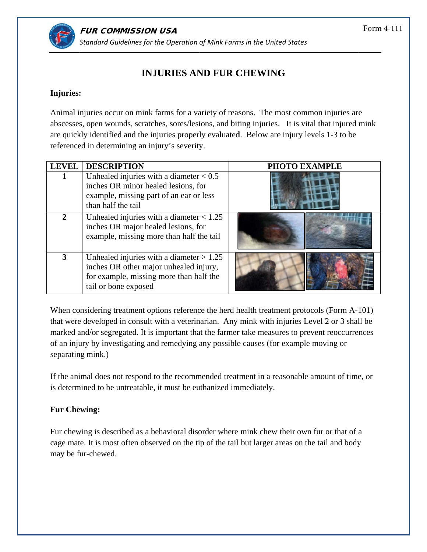

## **INJURIES AND FUR CHEWING**

## **Injuries: :**

Animal injuries occur on mink farms for a variety of reasons. The most common injuries are abscesses, open wounds, scratches, sores/lesions, and biting injuries. It is vital that injured mink are quickly identified and the injuries properly evaluated. Below are injury levels 1-3 to be referenced in determining an injury's severity.

| <b>LEVEL</b> | <b>DESCRIPTION</b>                                                                                                                                      | PHOTO EXAMPLE |
|--------------|---------------------------------------------------------------------------------------------------------------------------------------------------------|---------------|
|              | Unhealed injuries with a diameter $< 0.5$<br>inches OR minor healed lesions, for<br>example, missing part of an ear or less<br>than half the tail       |               |
|              | Unhealed injuries with a diameter $< 1.25$<br>inches OR major healed lesions, for<br>example, missing more than half the tail                           |               |
|              | Unhealed injuries with a diameter $> 1.25$<br>inches OR other major unhealed injury,<br>for example, missing more than half the<br>tail or bone exposed |               |

When considering treatment options reference the herd health treatment protocols (Form A-101) that were developed in consult with a veterinarian. Any mink with injuries Level 2 or 3 shall be marked and/or segregated. It is important that the farmer take measures to prevent reoccurrences of an injury by investigating and remedying any possible causes (for example moving or separating mink.)

If the animal does not respond to the recommended treatment in a reasonable amount of time, or is determined to be untreatable, it must be euthanized immediately.

## **Fur Che ewing:**

Fur chewing is described as a behavioral disorder where mink chew their own fur or that of a cage mate. It is most often observed on the tip of the tail but larger areas on the tail and body may be fur-chewed.